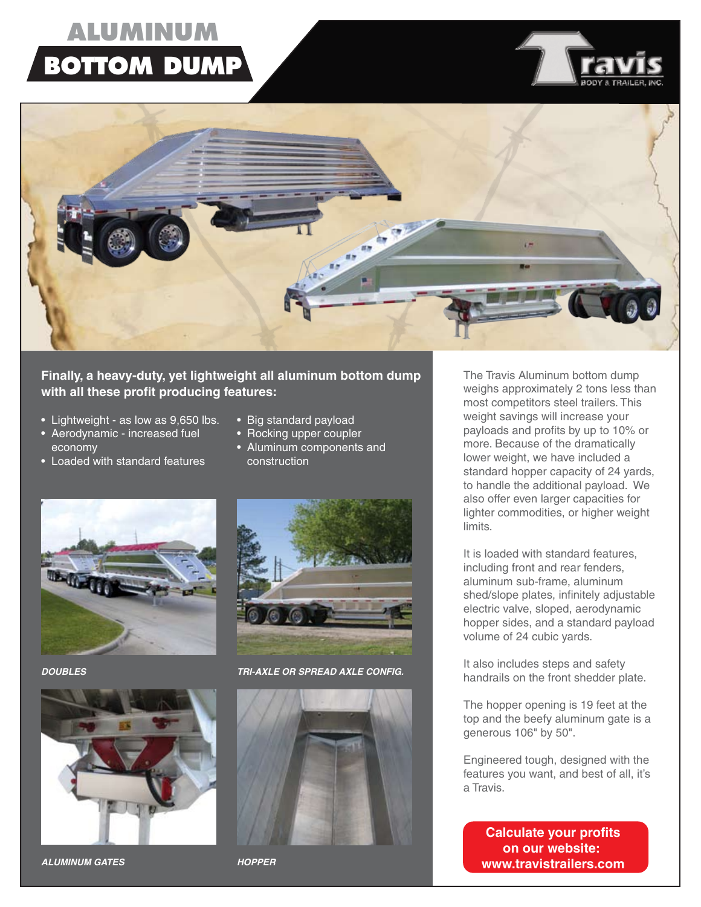## **ALUMINUM BOTTOM DUMP**



#### **Finally, a heavy-duty, yet lightweight all aluminum bottom dump with all these profit producing features:**

- Lightweight as low as 9,650 lbs.
- Aerodynamic increased fuel economy • Loaded with standard features
- Rocking upper coupler
	- Aluminum components and construction

• Big standard payload





*ALUMINUM GATES HOPPER*



*DOUBLES TRI-AXLE OR SPREAD AXLE CONFIG.*



 The Travis Aluminum bottom dump weighs approximately 2 tons less than most competitors steel trailers. This weight savings will increase your payloads and profits by up to 10% or more. Because of the dramatically lower weight, we have included a standard hopper capacity of 24 yards, to handle the additional payload. We also offer even larger capacities for lighter commodities, or higher weight limits.

 It is loaded with standard features, including front and rear fenders, aluminum sub-frame, aluminum shed/slope plates, infinitely adjustable electric valve, sloped, aerodynamic hopper sides, and a standard payload volume of 24 cubic yards.

 It also includes steps and safety handrails on the front shedder plate.

 The hopper opening is 19 feet at the top and the beefy aluminum gate is a generous 106" by 50".

 Engineered tough, designed with the features you want, and best of all, it's a Travis.

> **Calculate your profits on our website: www.travistrailers.com**